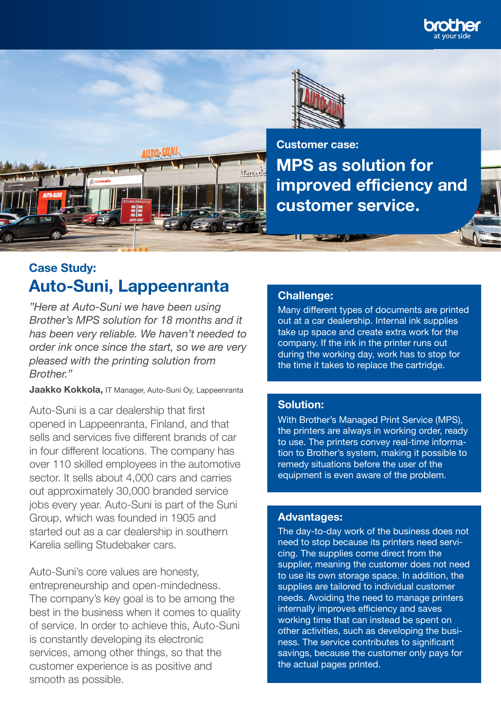



**MPS as solution for improved efficiency and customer service. Customer case:**

# **Case Study: Auto-Suni, Lappeenranta**

**AUTO-SUNI** 

*"Here at Auto-Suni we have been using Brother's MPS solution for 18 months and it has been very reliable. We haven't needed to order ink once since the start, so we are very pleased with the printing solution from Brother."*

**Jaakko Kokkola,** IT Manager, Auto-Suni Oy, Lappeenranta

Auto-Suni is a car dealership that first opened in Lappeenranta, Finland, and that sells and services five different brands of car in four different locations. The company has over 110 skilled employees in the automotive sector. It sells about 4,000 cars and carries out approximately 30,000 branded service jobs every year. Auto-Suni is part of the Suni Group, which was founded in 1905 and started out as a car dealership in southern Karelia selling Studebaker cars.

Auto-Suni's core values are honesty, entrepreneurship and open-mindedness. The company's key goal is to be among the best in the business when it comes to quality of service. In order to achieve this, Auto-Suni is constantly developing its electronic services, among other things, so that the customer experience is as positive and smooth as possible.

#### **Challenge:**

Mar

Many different types of documents are printed out at a car dealership. Internal ink supplies take up space and create extra work for the company. If the ink in the printer runs out during the working day, work has to stop for the time it takes to replace the cartridge.

### **Solution:**

With Brother's Managed Print Service (MPS), the printers are always in working order, ready to use. The printers convey real-time information to Brother's system, making it possible to remedy situations before the user of the equipment is even aware of the problem.

### **Advantages:**

The day-to-day work of the business does not need to stop because its printers need servicing. The supplies come direct from the supplier, meaning the customer does not need to use its own storage space. In addition, the supplies are tailored to individual customer needs. Avoiding the need to manage printers internally improves efficiency and saves working time that can instead be spent on other activities, such as developing the business. The service contributes to significant savings, because the customer only pays for the actual pages printed.